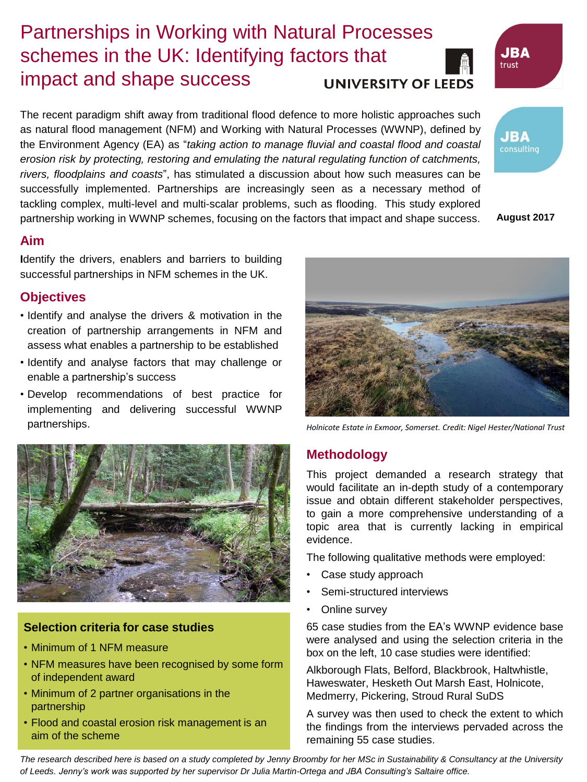# Partnerships in Working with Natural Processes schemes in the UK: Identifying factors that impact and shape success



### **UNIVERSITY OF LEEDS**

The recent paradigm shift away from traditional flood defence to more holistic approaches such as natural flood management (NFM) and Working with Natural Processes (WWNP), defined by the Environment Agency (EA) as "*taking action to manage fluvial and coastal flood and coastal erosion risk by protecting, restoring and emulating the natural regulating function of catchments, rivers, floodplains and coasts*", has stimulated a discussion about how such measures can be successfully implemented. Partnerships are increasingly seen as a necessary method of tackling complex, multi-level and multi-scalar problems, such as flooding. This study explored partnership working in WWNP schemes, focusing on the factors that impact and shape success.

**JBA** consulting

**August 2017**

#### **Aim**

**I**dentify the drivers, enablers and barriers to building successful partnerships in NFM schemes in the UK.

#### **Objectives**

- Identify and analyse the drivers & motivation in the creation of partnership arrangements in NFM and assess what enables a partnership to be established
- Identify and analyse factors that may challenge or enable a partnership's success
- Develop recommendations of best practice for implementing and delivering successful WWNP partnerships.



#### **Selection criteria for case studies**

- Minimum of 1 NFM measure
- NFM measures have been recognised by some form of independent award
- Minimum of 2 partner organisations in the partnership
- Flood and coastal erosion risk management is an aim of the scheme



*Holnicote Estate in Exmoor, Somerset. Credit: Nigel Hester/National Trust*

### **Methodology**

This project demanded a research strategy that would facilitate an in-depth study of a contemporary issue and obtain different stakeholder perspectives, to gain a more comprehensive understanding of a topic area that is currently lacking in empirical evidence.

The following qualitative methods were employed:

- Case study approach
- Semi-structured interviews
- Online survey

65 case studies from the EA's WWNP evidence base were analysed and using the selection criteria in the box on the left, 10 case studies were identified:

Alkborough Flats, Belford, Blackbrook, Haltwhistle, Haweswater, Hesketh Out Marsh East, Holnicote, Medmerry, Pickering, Stroud Rural SuDS

A survey was then used to check the extent to which the findings from the interviews pervaded across the remaining 55 case studies.

*The research described here is based on a study completed by Jenny Broomby for her MSc in Sustainability & Consultancy at the University of Leeds. Jenny's work was supported by her supervisor Dr Julia Martin-Ortega and JBA Consulting's Saltaire office.*